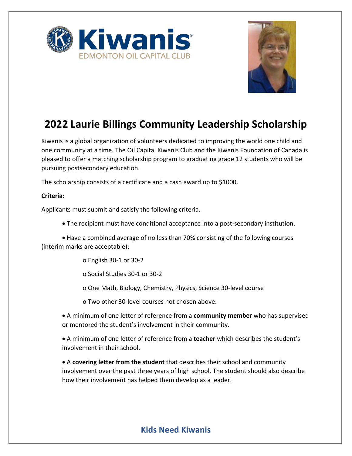



## **2022 Laurie Billings Community Leadership Scholarship**

Kiwanis is a global organization of volunteers dedicated to improving the world one child and one community at a time. The Oil Capital Kiwanis Club and the Kiwanis Foundation of Canada is pleased to offer a matching scholarship program to graduating grade 12 students who will be pursuing postsecondary education.

The scholarship consists of a certificate and a cash award up to \$1000.

#### **Criteria:**

Applicants must submit and satisfy the following criteria.

• The recipient must have conditional acceptance into a post-secondary institution.

• Have a combined average of no less than 70% consisting of the following courses (interim marks are acceptable):

o English 30-1 or 30-2

o Social Studies 30-1 or 30-2

o One Math, Biology, Chemistry, Physics, Science 30-level course

o Two other 30-level courses not chosen above.

• A minimum of one letter of reference from a **community member** who has supervised or mentored the student's involvement in their community.

• A minimum of one letter of reference from a **teacher** which describes the student's involvement in their school.

• A **covering letter from the student** that describes their school and community involvement over the past three years of high school. The student should also describe how their involvement has helped them develop as a leader.

### **Kids Need Kiwanis**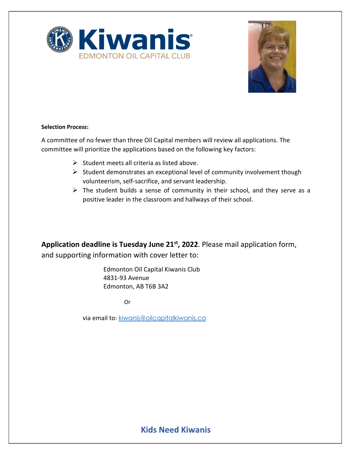



#### **Selection Process:**

A committee of no fewer than three Oil Capital members will review all applications. The committee will prioritize the applications based on the following key factors:

- $\triangleright$  Student meets all criteria as listed above.
- $\triangleright$  Student demonstrates an exceptional level of community involvement though volunteerism, self-sacrifice, and servant leadership.
- $\triangleright$  The student builds a sense of community in their school, and they serve as a positive leader in the classroom and hallways of their school.

Application deadline is Tuesday June 21<sup>st</sup>, 2022. Please mail application form, and supporting information with cover letter to:

> Edmonton Oil Capital Kiwanis Club 4831-93 Avenue Edmonton, AB T6B 3A2

> > Or

via email to: kiwanis@oilcapitalkiwanis.ca

### **Kids Need Kiwanis**